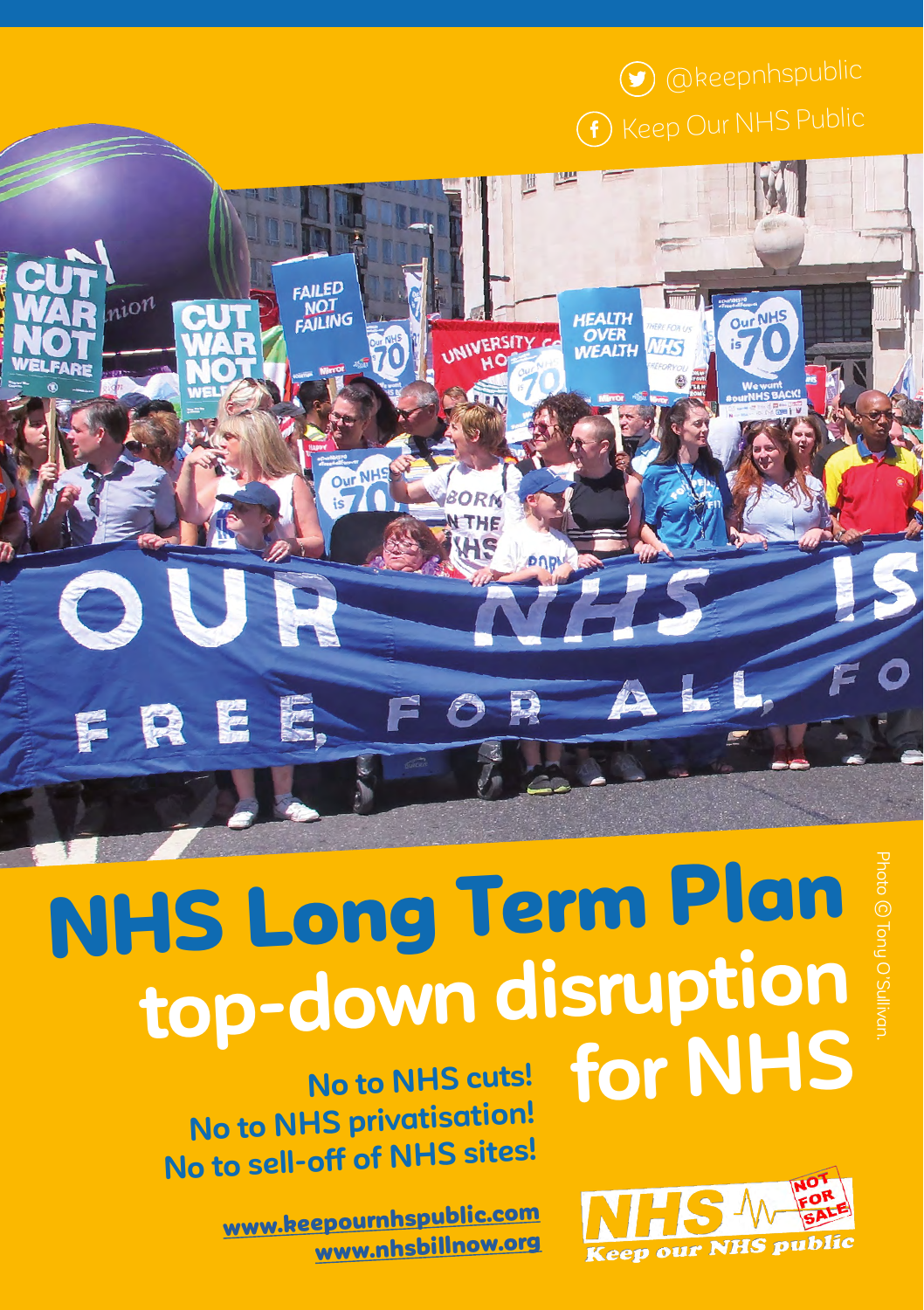$\bigcirc$  [@keepn](https://twitter.com/search?q=%40keepnhspublic&src=typd)hspublic

**HEALTH** 

**OVER**<br>WEALTH

**INERSITY** 

# NHS Long Term Plan **top-down disruption for NHS**

**No to NHS cuts! No to NHS privatisation! No to sell-off of NHS sites!**

**CAILED** 

ion

FRE.

www.keepourn[hspublic.com](http://www.keepournhspublic.com ) [www.nhsbillnow.org](http://www.nhsbillnow.org) Photo © Tony O'Sullivan.